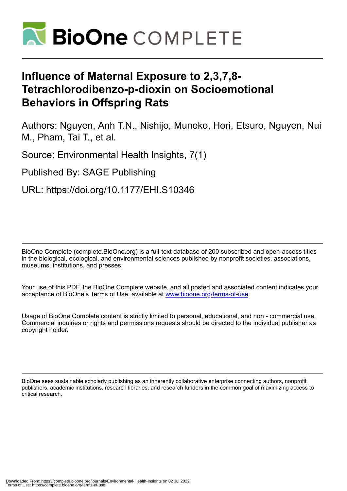

# **Influence of Maternal Exposure to 2,3,7,8- Tetrachlorodibenzo-p-dioxin on Socioemotional Behaviors in Offspring Rats**

Authors: Nguyen, Anh T.N., Nishijo, Muneko, Hori, Etsuro, Nguyen, Nui M., Pham, Tai T., et al.

Source: Environmental Health Insights, 7(1)

Published By: SAGE Publishing

URL: https://doi.org/10.1177/EHI.S10346

BioOne Complete (complete.BioOne.org) is a full-text database of 200 subscribed and open-access titles in the biological, ecological, and environmental sciences published by nonprofit societies, associations, museums, institutions, and presses.

Your use of this PDF, the BioOne Complete website, and all posted and associated content indicates your acceptance of BioOne's Terms of Use, available at www.bioone.org/terms-of-use.

Usage of BioOne Complete content is strictly limited to personal, educational, and non - commercial use. Commercial inquiries or rights and permissions requests should be directed to the individual publisher as copyright holder.

BioOne sees sustainable scholarly publishing as an inherently collaborative enterprise connecting authors, nonprofit publishers, academic institutions, research libraries, and research funders in the common goal of maximizing access to critical research.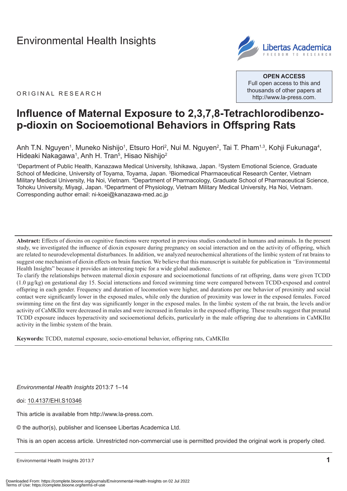# [Environmental Health Insights](http://www.la-press.com/environmental-health-insights-journal-j110)



ORIGINAL RESEARCH

**OPen ACCess** Full open access to this and thousands of other papers at <http://www.la-press.com>.

# **Influence of Maternal Exposure to 2,3,7,8-Tetrachlorodibenzop-dioxin on Socioemotional Behaviors in Offspring Rats**

Anh T.N. Nguyen<sup>1</sup>, Muneko Nishijo<sup>1</sup>, Etsuro Hori<sup>2</sup>, Nui M. Nguyen<sup>2</sup>, Tai T. Pham<sup>1,3</sup>, Kohji Fukunaga<sup>4</sup>, Hideaki Nakagawa<sup>1</sup>, Anh H. Tran<sup>5</sup>, Hisao Nishijo<sup>2</sup>

1 Department of Public Health, Kanazawa Medical University, Ishikawa, Japan. 2 System Emotional Science, graduate School of Medicine, University of Toyama, Toyama, Japan. <sup>3</sup>Biomedical Pharmaceutical Research Center, Vietnam Military Medical University, Ha Noi, Vietnam. <sup>4</sup>Department of Pharmacology, Graduate School of Pharmaceutical Science, Tohoku University, Miyagi, Japan. <sup>5</sup>Department of Physiology, Vietnam Military Medical University, Ha Noi, Vietnam. corresponding author email: [ni-koei@kanazawa-med.ac.jp](mailto:ni-koei@kanazawa-med.ac.jp)

**Abstract:** Effects of dioxins on cognitive functions were reported in previous studies conducted in humans and animals. In the present study, we investigated the influence of dioxin exposure during pregnancy on social interaction and on the activity of offspring, which are related to neurodevelopmental disturbances. In addition, we analyzed neurochemical alterations of the limbic system of rat brains to suggest one mechanism of dioxin effects on brain function. We believe that this manuscript is suitable for publication in *"*Environmental Health Insights" because it provides an interesting topic for a wide global audience.

To clarify the relationships between maternal dioxin exposure and socioemotional functions of rat offspring, dams were given TCDD (1.0 µg/kg) on gestational day 15. Social interactions and forced swimming time were compared between TCDD-exposed and control offspring in each gender. Frequency and duration of locomotion were higher, and durations per one behavior of proximity and social contact were significantly lower in the exposed males, while only the duration of proximity was lower in the exposed females. Forced swimming time on the first day was significantly longer in the exposed males. In the limbic system of the rat brain, the levels and/or activity of CaMKIIα were decreased in males and were increased in females in the exposed offspring. These results suggest that prenatal TCDD exposure induces hyperactivity and socioemotional deficits, particularly in the male offspring due to alterations in CaMKII $\alpha$ activity in the limbic system of the brain.

**Keywords:** TCDD, maternal exposure, socio-emotional behavior, offspring rats, CaMKIIα

*Environmental Health Insights* 2013:7 1–14

doi: [10.4137/EHI.S10346](http://dx.doi.org/10.4137/EHI.S10346)

This article is available from [http://www.la-press.com.](http://www.la-press.com)

© the author(s), publisher and licensee Libertas Academica Ltd.

This is an open access article. Unrestricted non-commercial use is permitted provided the original work is properly cited.

Environmental Health Insights 2013:7 **1**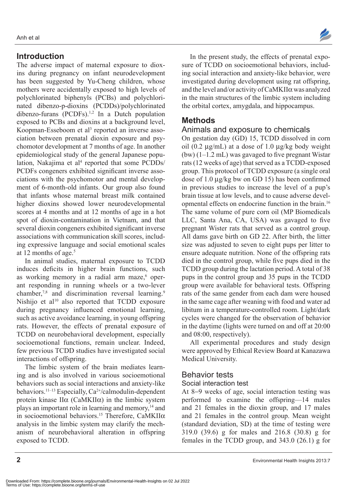## **Introduction**

The adverse impact of maternal exposure to dioxins during pregnancy on infant neurodevelopment has been suggested by Yu-Cheng children, whose mothers were accidentally exposed to high levels of polychlorinated biphenyls (PCBs) and polychlorinated dibenzo-p-dioxins (PCDDs)/polychlorinated dibenzo-furans  $(PCDFs).<sup>1,2</sup>$  In a Dutch population exposed to PCBs and dioxins at a background level, Koopman-Esseboom et al<sup>3</sup> reported an inverse association between prenatal dioxin exposure and psychomotor development at 7 months of age. In another epidemiological study of the general Japanese population, Nakajima et al<sup>4</sup> reported that some PCDDs/ PCDFs congeners exhibited significant inverse associations with the psychomotor and mental development of 6-month-old infants. Our group also found that infants whose maternal breast milk contained higher dioxins showed lower neurodevelopmental scores at 4 months and at 12 months of age in a hot spot of dioxin-contamination in Vietnam, and that several dioxin congeners exhibited significant inverse associations with communication skill scores, including expressive language and social emotional scales at 12 months of age.<sup>5</sup>

In animal studies, maternal exposure to TCDD induces deficits in higher brain functions, such as working memory in a radial arm maze,<sup>6</sup> operant responding in running wheels or a two-lever chamber,<sup>7,8</sup> and discrimination reversal learning.<sup>9</sup> Nishijo et al $10$  also reported that TCDD exposure during pregnancy influenced emotional learning, such as active avoidance learning, in young offspring rats. However, the effects of prenatal exposure of TCDD on neurobehavioral development, especially socioemotional functions, remain unclear. Indeed, few previous TCDD studies have investigated social interactions of offspring.

The limbic system of the brain mediates learning and is also involved in various socioemotional behaviors such as social interactions and anxiety-like behaviors.<sup>11-13</sup> Especially, Ca<sup>2+</sup>/calmodulin-dependent protein kinase  $II\alpha$  (CaMKII $\alpha$ ) in the limbic system plays an important role in learning and memory,14 and in socioemotional behaviors.<sup>15</sup> Therefore, CaMKII $\alpha$ analysis in the limbic system may clarify the mechanism of neurobehavioral alteration in offspring exposed to TCDD.



In the present study, the effects of prenatal exposure of TCDD on socioemotional behaviors, including social interaction and anxiety-like behavior, were investigated during development using rat offspring, and the level and/or activity of CaMKIIα was analyzed in the main structures of the limbic system including the orbital cortex, amygdala, and hippocampus.

## **Methods**

#### Animals and exposure to chemicals

On gestation day (GD) 15, TCDD dissolved in corn oil (0.2  $\mu$ g/mL) at a dose of 1.0  $\mu$ g/kg body weight (bw) (1–1.2 mL) was gavaged to five pregnant Wistar rats (12 weeks of age) that served as a TCDD-exposed group. This protocol of TCDD exposure (a single oral dose of 1.0 µg/kg bw on GD 15) has been confirmed in previous studies to increase the level of a pup's brain tissue at low levels, and to cause adverse developmental effects on endocrine function in the brain.16 The same volume of pure corn oil (MP Biomedicals LLC, Santa Ana, CA, USA) was gavaged to five pregnant Wister rats that served as a control group. All dams gave birth on GD 22. After birth, the litter size was adjusted to seven to eight pups per litter to ensure adequate nutrition. None of the offspring rats died in the control group, while five pups died in the TCDD group during the lactation period. A total of 38 pups in the control group and 35 pups in the TCDD group were available for behavioral tests. Offspring rats of the same gender from each dam were housed in the same cage after weaning with food and water ad libitum in a temperature-controlled room. Light/dark cycles were changed for the observation of behavior in the daytime (lights were turned on and off at 20:00 and 08:00, respectively).

All experimental procedures and study design were approved by Ethical Review Board at Kanazawa Medical University.

#### Behavior tests

#### Social interaction test

At 8−9 weeks of age, social interaction testing was performed to examine the offspring—14 males and 21 females in the dioxin group, and 17 males and 21 females in the control group. Mean weight (standard deviation, SD) at the time of testing were 319.0 (39.6) g for males and 216.8 (30.8) g for females in the TCDD group, and 343.0 (26.1) g for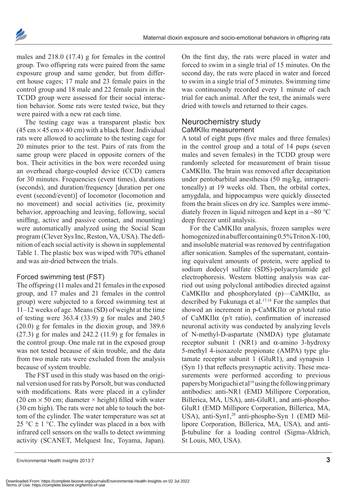

males and 218.0 (17.4) g for females in the control group. Two offspring rats were paired from the same exposure group and same gender, but from different house cages; 17 male and 23 female pairs in the control group and 18 male and 22 female pairs in the TCDD group were assessed for their social interaction behavior. Some rats were tested twice, but they were paired with a new rat each time.

The testing cage was a transparent plastic box  $(45 \text{ cm} \times 45 \text{ cm} \times 40 \text{ cm})$  with a black floor. Individual rats were allowed to acclimate to the testing cage for 20 minutes prior to the test. Pairs of rats from the same group were placed in opposite corners of the box. Their activities in the box were recorded using an overhead charge-coupled device (CCD) camera for 30 minutes. Frequencies (event times), durations (seconds), and duration/frequency [duration per one event (second/event)] of locomotor (locomotion and no movement) and social activities (ie, proximity behavior, approaching and leaving, following, social sniffing, active and passive contact, and mounting) were automatically analyzed using the Social Scan program (Clever Sys Inc, Reston, VA, USA). The definition of each social activity is shown in supplemental Table 1. The plastic box was wiped with 70% ethanol and was air-dried between the trials.

#### Forced swimming test (FST)

The offspring (11 males and 21 females in the exposed group, and 17 males and 21 females in the control group) were subjected to a forced swimming test at 11–12 weeks of age. Means (SD) of weight at the time of testing were 363.4 (33.9) g for males and 240.5 (20.0) g for females in the dioxin group, and 389.6 (27.3) g for males and 242.2 (11.9) g for females in the control group. One male rat in the exposed group was not tested because of skin trouble, and the data from two male rats were excluded from the analysis because of system trouble.

The FST used in this study was based on the original version used for rats by Porsolt, but was conducted with modifications. Rats were placed in a cylinder (20 cm  $\times$  50 cm; diameter  $\times$  height) filled with water (30 cm high). The rats were not able to touch the bottom of the cylinder. The water temperature was set at 25 °C  $\pm$  1 °C. The cylinder was placed in a box with infrared cell sensors on the walls to detect swimming activity (SCANET, Melquest Inc, Toyama, Japan).

On the first day, the rats were placed in water and forced to swim in a single trial of 15 minutes. On the second day, the rats were placed in water and forced to swim in a single trial of 5 minutes. Swimming time was continuously recorded every 1 minute of each trial for each animal. After the test, the animals were dried with towels and returned to their cages.

#### Neurochemistry study caMKIIα measurement

A total of eight pups (five males and three females) in the control group and a total of 14 pups (seven males and seven females) in the TCDD group were randomly selected for measurement of brain tissue CaMKIIα. The brain was removed after decapitation under pentobarbital anesthesia (50 mg/kg, intraperitoneally) at 19 weeks old. Then, the orbital cortex, amygdala, and hippocampus were quickly dissected from the brain slices on dry ice. Samples were immediately frozen in liquid nitrogen and kept in a −80 °C deep freezer until analysis.

For the CaMKIIα analysis, frozen samples were homogenized in a buffer containing 0.5% Triton X-100, and insoluble material was removed by centrifugation after sonication. Samples of the supernatant, containing equivalent amounts of protein, were applied to sodium dodecyl sulfate (SDS)-polyacrylamide gel electrophoresis. Western blotting analysis was carried out using polyclonal antibodies directed against CaMKIIα and phosphorylated (p)—CaMKIIα, as described by Fukunaga et al.17,18 For the samples that showed an increment in p-CaMKIIα or p/total ratio of CaMKIIα (p/t ratio), confirmation of increased neuronal activity was conducted by analyzing levels of N-methyl-D-aspartate (NMDA) type glutamate receptor subunit 1 (NR1) and α-amino 3-hydroxy 5-methyl 4-isoxazole propionate (AMPA) type glutamate receptor subunit 1 (GluR1), and synapsin 1 (Syn 1) that reflects presynaptic activity. These measurements were performed according to previous papers by Moriguchi et al<sup>19</sup> using the following primary antibodies: anti-NR1 (EMD Millipore Corporation, Billerica, MA, USA), anti-GluR1, and anti-phospho-GluR1 (EMD Millipore Corporation, Billerica, MA, USA), anti-Syn1,<sup>20</sup> anti-phospho-Syn 1 (EMD Millipore Corporation, Billerica, MA, USA), and antiβ-tubuline for a loading control (Sigma-Aldrich, St Louis, MO, USA).

Environmental Health Insights 2013:7 **3**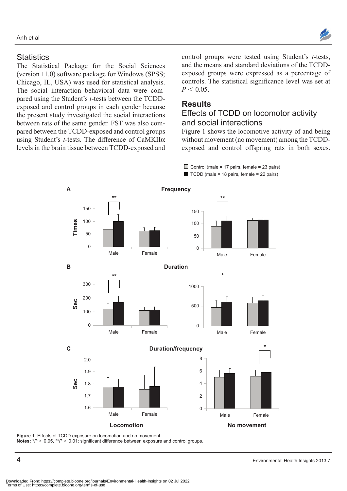

### **Statistics**

The Statistical Package for the Social Sciences (version 11.0) software package for Windows (SPSS; Chicago, IL, USA) was used for statistical analysis. The social interaction behavioral data were compared using the Student's *t*-tests between the TCDDexposed and control groups in each gender because the present study investigated the social interactions between rats of the same gender. FST was also compared between the TCDD-exposed and control groups using Student's *t*-tests. The difference of CaMKIIα levels in the brain tissue between TCDD-exposed and control groups were tested using Student's *t*-tests, and the means and standard deviations of the TCDDexposed groups were expressed as a percentage of controls. The statistical significance level was set at  $P < 0.05$ .

## **Results**

## Effects of TcDD on locomotor activity and social interactions

 $\Box$  Control (male = 17 pairs, female = 23 pairs)  $\blacksquare$  TCDD (male = 18 pairs, female = 22 pairs)

Figure 1 shows the locomotive activity of and being without movement (no movement) among the TCDDexposed and control offspring rats in both sexes.

**A Frequency \*\* Times** 150 100 50 0 Male Female **\*\*** 150 100 50  $\Omega$ Male Female **B** Duration **C Duration/frequency Locomotion Community Community Community Community Community Community Community Community Community Community \*\* Sec** 300 200  $100$ 0 Male Female **Sec** 2.0 1.8 1.9 1.7 1.6 Male Female 8 4 6 2  $\Omega$ Male Female **\*** 1000 500  $\overline{0}$ Male Female **\***

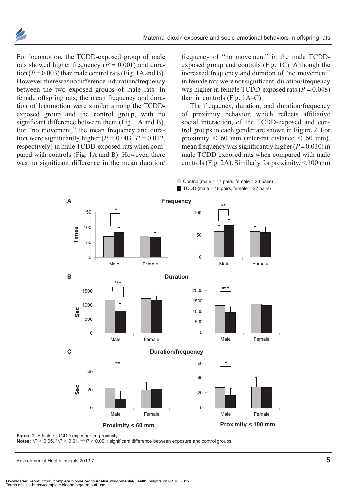

For locomotion, the TCDD-exposed group of male rats showed higher frequency  $(P = 0.001)$  and duration  $(P = 0.003)$  than male control rats (Fig. 1A and B). However, there was no difference in duration/frequency between the two exposed groups of male rats. In female offspring rats, the mean frequency and duration of locomotion were similar among the TCDDexposed group and the control group, with no significant difference between them (Fig. 1A and B). For "no movement," the mean frequency and duration were significantly higher  $(P = 0.003, P = 0.012,$ respectively) in male TCDD-exposed rats when compared with controls (Fig. 1A and B). However, there was no significant difference in the mean duration/

frequency of "no movement" in the male TCDDexposed group and controls (Fig. 1C). Although the increased frequency and duration of "no movement" in female rats were not significant, duration/frequency was higher in female TCDD-exposed rats  $(P = 0.048)$ than in controls (Fig. 1A–C).

The frequency, duration, and duration/frequency of proximity behavior, which reflects affiliative social interaction, of the TCDD-exposed and control groups in each gender are shown in Figure 2. For proximity  $\leq 60$  mm (inter-rat distance  $\leq 60$  mm), mean frequency was significantly higher  $(P= 0.030)$  in male TCDD-exposed rats when compared with male controls (Fig. 2A). Similarly for proximity,  $\leq 100$  mm



**Notes:**  $*P < 0.05$ ,  $*P < 0.01$ ,  $**P < 0.001$ ; significant difference between exposure and control groups.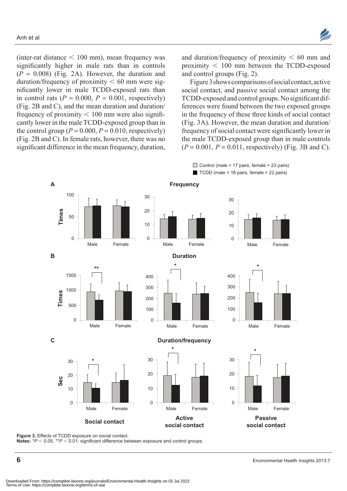

(inter-rat distance  $< 100$  mm), mean frequency was significantly higher in male rats than in controls  $(P = 0.008)$  (Fig. 2A). However, the duration and duration/frequency of proximity  $< 60$  mm were significantly lower in male TCDD-exposed rats than in control rats  $(P = 0.000, P = 0.001,$  respectively) (Fig. 2B and C), and the mean duration and duration/ frequency of proximity  $< 100$  mm were also significantly lower in the male TCDD-exposed group than in the control group ( $P = 0.000$ ,  $P = 0.010$ , respectively) (Fig. 2B and C). In female rats, however, there was no significant difference in the mean frequency, duration,

and duration/frequency of proximity  $\lt$  60 mm and proximity  $< 100$  mm between the TCDD-exposed and control groups (Fig. 2).

Figure 3 shows comparisons of social contact, active social contact, and passive social contact among the TCDD-exposed and control groups. No significant differences were found between the two exposed groups in the frequency of these three kinds of social contact (Fig. 3A). However, the mean duration and duration/ frequency of social contact were significantly lower in the male TCDD-exposed group than in male controls  $(P = 0.001, P = 0.011,$  respectively) (Fig. 3B and C).



Figure 3. Effects of TCDD exposure on social contact.

Notes: \* $P$  < 0.05, \*\* $P$  < 0.01; significant difference between exposure and control groups.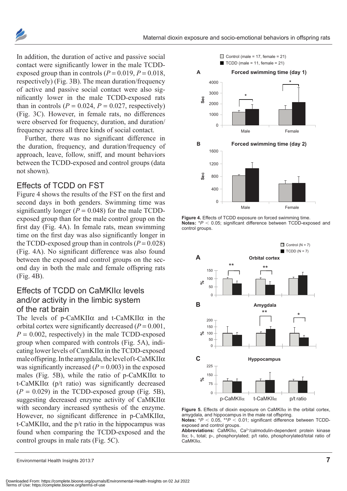

In addition, the duration of active and passive social contact were significantly lower in the male TCDDexposed group than in controls  $(P = 0.019, P = 0.018, P = 0.018)$ respectively) (Fig. 3B). The mean duration/frequency of active and passive social contact were also significantly lower in the male TCDD-exposed rats than in controls  $(P = 0.024, P = 0.027, \text{ respectively})$ (Fig. 3C). However, in female rats, no differences were observed for frequency, duration, and duration/ frequency across all three kinds of social contact.

Further, there was no significant difference in the duration, frequency, and duration/frequency of approach, leave, follow, sniff, and mount behaviors between the TCDD-exposed and control groups (data not shown).

## Effects of TcDD on FST

Figure 4 shows the results of the FST on the first and second days in both genders. Swimming time was significantly longer  $(P = 0.048)$  for the male TCDDexposed group than for the male control group on the first day (Fig. 4A). In female rats, mean swimming time on the first day was also significantly longer in the TCDD-exposed group than in controls  $(P = 0.028)$ (Fig. 4A). No significant difference was also found between the exposed and control groups on the second day in both the male and female offspring rats (Fig. 4B).

## Effects of TcDD on caMKIIα levels and/or activity in the limbic system of the rat brain

The levels of p-CaMKIIα and t-CaMKIIα in the orbital cortex were significantly decreased  $(P = 0.001$ ,  $P = 0.002$ , respectively) in the male TCDD-exposed group when compared with controls (Fig. 5A), indicating lower levels of CamKIIα in the TCDD-exposed male offspring. In the amygdala, the level of t-CaMKII $\alpha$ was significantly increased  $(P = 0.003)$  in the exposed males (Fig. 5B), while the ratio of  $p$ -CaMKII $\alpha$  to t-CaMKIIα (p/t ratio) was significantly decreased  $(P = 0.029)$  in the TCDD-exposed group (Fig. 5B), suggesting decreased enzyme activity of CaMKIIα with secondary increased synthesis of the enzyme. However, no significant difference in p-CaMKIIα, t-CaMKIIα, and the p/t ratio in the hippocampus was found when comparing the TCDD-exposed and the control groups in male rats (Fig. 5C).



Figure 4. Effects of TCDD exposure on forced swimming time. **Notes:** \* $P$  < 0.05; significant difference between TCDD-exposed and control groups.



**Figure 5.** Effects of dioxin exposure on caMKIIα in the orbital cortex, amygdala, and hippocampus in the male rat offspring.

**Notes:**  $*P < 0.05$ ,  $*P < 0.01$ ; significant difference between TCDDexposed and control groups.

Abbreviations: CaMKIIα, Ca<sup>2+</sup>/calmodulin-dependent protein kinase IIα; t-, total; p-, phosphorylated; p/t ratio, phosphorylated/total ratio of caMKIIα.

Environmental Health Insights 2013:7 **7**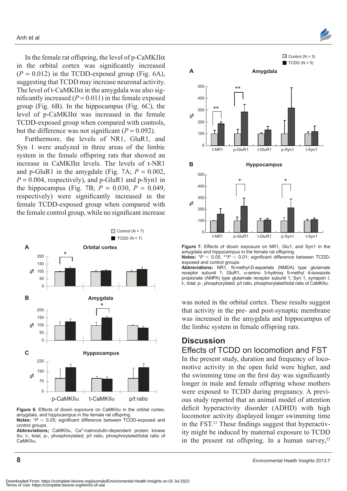In the female rat offspring, the level of p-CaMKII $\alpha$ in the orbital cortex was significantly increased  $(P = 0.012)$  in the TCDD-exposed group (Fig. 6A), suggesting that TCDD may increase neuronal activity. The level of t-CaMKII $\alpha$  in the amygdala was also significantly increased  $(P = 0.011)$  in the female exposed group (Fig. 6B). In the hippocampus (Fig. 6C), the level of p-CaMKIIα was increased in the female TCDD-exposed group when compared with controls, but the difference was not significant  $(P = 0.092)$ .

Furthermore, the levels of NR1, GluR1, and Syn 1 were analyzed in three areas of the limbic system in the female offspring rats that showed an increase in CaMKIIα levels. The levels of t-NR1 and p-GluR1 in the amygdale (Fig. 7A;  $P = 0.002$ ,  $P = 0.004$ , respectively), and p-GluR1 and p-Syn1 in the hippocampus (Fig. 7B;  $P = 0.030$ ,  $P = 0.049$ , respectively) were significantly increased in the female TCDD-exposed group when compared with the female control group, while no significant increase



**Figure 6.** Effects of dioxin exposure on caMKIIα in the orbital cortex, amygdala, and hippocampus in the female rat offspring. **Notes:** \**P* < 0.05; significant difference between TCDD-exposed and

control groups.

Abbreviations; CaMKIIα, Ca<sup>2+</sup>/calmodulin-dependent protein kinase IIα; t-, total, p-, phosphorylated; p/t ratio, phosphorylated/total ratio of caMKIIα**.**



**Figure 7.** Effects of dioxin exposure on NR1, Glu1, and Syn1 in the amygdala and hippocampus in the female rat offspring. **Notes:**  $*P < 0.05$ ,  $*P < 0.01$ ; significant difference between TCDDexposed and control groups.

Abbreviations: NR1, N-methyl-D-aspartate (NMDA) type glutamate receptor subunit 1; GluR1, α-amino 3-hydroxy 5-methyl 4-isoxazole propionate (AMPA) type glutamate receptor subunit 1; Syn 1, synapsin I, t-, total; p-, phosphorylated; p/t ratio, phosphorylated/total ratio of caMKIIα.

was noted in the orbital cortex. These results suggest that activity in the pre- and post-synaptic membrane was increased in the amygdala and hippocampus of the limbic system in female offspring rats.

#### **Discussion**

#### Effects of TcDD on locomotion and FST

In the present study, duration and frequency of locomotive activity in the open field were higher, and the swimming time on the first day was significantly longer in male and female offspring whose mothers were exposed to TCDD during pregnancy. A previous study reported that an animal model of attention deficit hyperactivity disorder (ADHD) with high locomotor activity displayed longer swimming time in the FST. $21$  These findings suggest that hyperactivity might be induced by maternal exposure to TCDD in the present rat offspring. In a human survey,  $22$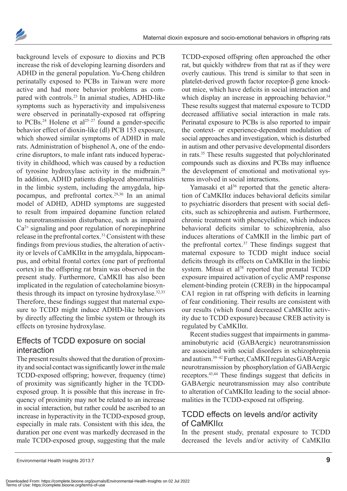

background levels of exposure to dioxins and PCB increase the risk of developing learning disorders and ADHD in the general population. Yu-Cheng children perinatally exposed to PCBs in Taiwan were more active and had more behavior problems as compared with controls.<sup>23</sup> In animal studies, ADHD-like symptoms such as hyperactivity and impulsiveness were observed in perinatally-exposed rat offspring to PCBs.<sup>24</sup> Holene et al<sup>25-27</sup> found a gender-specific behavior effect of dioxin-like (dl) PCB 153 exposure, which showed similar symptoms of ADHD in male rats. Administration of bisphenol A, one of the endocrine disruptors, to male infant rats induced hyperactivity in childhood, which was caused by a reduction of tyrosine hydroxylase activity in the midbrain.28 In addition, ADHD patients displayed abnormalities in the limbic system, including the amygdala, hippocampus, and prefrontal cortex.29,30 In an animal model of ADHD, ADHD symptoms are suggested to result from impaired dopamine function related to neurotransmission disturbance, such as impaired  $Ca<sup>2+</sup>$  signaling and poor regulation of norepinephrine release in the prefrontal cortex.31 Consistent with these findings from previous studies, the alteration of activity or levels of  $CaMKII\alpha$  in the amygdala, hippocampus, and orbital frontal cortex (one part of prefrontal cortex) in the offspring rat brain was observed in the present study. Furthermore, CaMKII has also been implicated in the regulation of catecholamine biosynthesis through its impact on tyrosine hydroxylase.<sup>32,33</sup> Therefore, these findings suggest that maternal exposure to TCDD might induce ADHD-like behaviors by directly affecting the limbic system or through its effects on tyrosine hydroxylase.

## Effects of TcDD exposure on social interaction

The present results showed that the duration of proximity and social contact was significantly lower in the male TCDD-exposed offspring; however, frequency (time) of proximity was significantly higher in the TCDDexposed group. It is possible that this increase in frequency of proximity may not be related to an increase in social interaction, but rather could be ascribed to an increase in hyperactivity in the TCDD-exposed group, especially in male rats. Consistent with this idea, the duration per one event was markedly decreased in the male TCDD-exposed group, suggesting that the male

TCDD-exposed offspring often approached the other rat, but quickly withdrew from that rat as if they were overly cautious. This trend is similar to that seen in platelet-derived growth factor receptor-β gene knockout mice, which have deficits in social interaction and which display an increase in approaching behavior.<sup>34</sup> These results suggest that maternal exposure to TCDD decreased affiliative social interaction in male rats. Perinatal exposure to PCBs is also reported to impair the context- or experience-dependent modulation of social approaches and investigation, which is disturbed in autism and other pervasive developmental disorders in rats.35 These results suggested that polychlorinated compounds such as dioxins and PCBs may influence the development of emotional and motivational systems involved in social interactions.

Yamasaki et al<sup>36</sup> reported that the genetic alteration of  $CaMKII\alpha$  induces behavioral deficits similar to psychiatric disorders that present with social deficits, such as schizophrenia and autism. Furthermore, chronic treatment with phencyclidine, which induces behavioral deficits similar to schizophrenia, also induces alterations of CaMKII in the limbic part of the prefrontal cortex.37 These findings suggest that maternal exposure to TCDD might induce social deficits through its effects on  $CaMKII\alpha$  in the limbic system. Mitsui et al<sup>38</sup> reported that prenatal TCDD exposure impaired activation of cyclic AMP response element-binding protein (CREB) in the hippocampal CA1 region in rat offspring with deficits in learning of fear conditioning. Their results are consistent with our results (which found decreased CaMKIIα activity due to TCDD exposure) because CREB activity is regulated by CaMKIIα.

Recent studies suggest that impairments in gammaaminobutyric acid (GABAergic) neurotransmission are associated with social disorders in schizophrenia and autism.39–42 Further, CaMKII regulates GABAergic neurotransmission by phosphorylation of GABAergic receptors.43,44 These findings suggest that deficits in GABAergic neurotransmission may also contribute to alteration of CaMKIIα leading to the social abnormalities in the TCDD-exposed rat offspring.

## TcDD effects on levels and/or activity of caMKIIα

In the present study, prenatal exposure to TCDD decreased the levels and/or activity of CaMKIIα

Environmental Health Insights 2013:7 **9**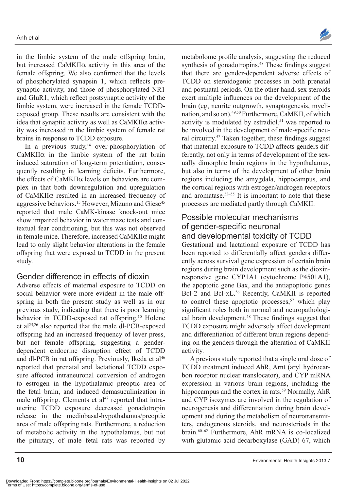in the limbic system of the male offspring brain, but increased CaMKIIα activity in this area of the female offspring. We also confirmed that the levels of phosphorylated synapsin 1, which reflects presynaptic activity, and those of phosphorylated NR1 and GluR1, which reflect postsynaptic activity of the limbic system, were increased in the female TCDDexposed group. These results are consistent with the idea that synaptic activity as well as CaMKIIα activity was increased in the limbic system of female rat brains in response to TCDD exposure.

In a previous study,<sup>14</sup> over-phosphorylation of CaMKIIα in the limbic system of the rat brain induced saturation of long-term potentiation, consequently resulting in learning deficits. Furthermore, the effects of CaMKIIα levels on behaviors are complex in that both downregulation and upregulation of CaMKIIα resulted in an increased frequency of aggressive behaviors.<sup>15</sup> However, Mizuno and Giese<sup>45</sup> reported that male CaMK-kinase knock-out mice show impaired behavior in water maze tests and contextual fear conditioning, but this was not observed in female mice. Therefore, increased CaMKIIα might lead to only slight behavior alterations in the female offspring that were exposed to TCDD in the present study.

## gender difference in effects of dioxin

Adverse effects of maternal exposure to TCDD on social behavior were more evident in the male offspring in both the present study as well as in our previous study, indicating that there is poor learning behavior in TCDD-exposed rat offspring.<sup>10</sup> Holene et al25,26 also reported that the male dl-PCB-exposed offspring had an increased frequency of lever press, but not female offspring, suggesting a genderdependent endocrine disruption effect of TCDD and dl-PCB in rat offspring. Previously, Ikeda et al<sup>46</sup> reported that prenatal and lactational TCDD exposure affected intraneuronal conversion of androgen to estrogen in the hypothalamic preoptic area of the fetal brain, and induced demasuculinization in male offspring. Clements et  $al<sup>47</sup>$  reported that intrauterine TCDD exposure decreased gonadotropin release in the mediobasal-hypothalamus/preoptic area of male offspring rats. Furthermore, a reduction of metabolic activity in the hypothalamus, but not the pituitary, of male fetal rats was reported by

metabolome profile analysis, suggesting the reduced synthesis of gonadotropins.<sup>48</sup> These findings suggest that there are gender-dependent adverse effects of TCDD on steroidogenic processes in both prenatal and postnatal periods. On the other hand, sex steroids exert multiple influences on the development of the brain (eg, neurite outgrowth, synaptogenesis, myelination, and so on).<sup>49,50</sup> Furthermore, CaMKII, of which activity is modulated by estradiol, $51$  was reported to be involved in the development of male-specific neural circuitry.52 Taken together, these findings suggest that maternal exposure to TCDD affects genders differently, not only in terms of development of the sexually dimorphic brain regions in the hypothalamus, but also in terms of the development of other brain regions including the amygdala, hippocampus, and the cortical regions with estrogen/androgen receptors and aromatase.53–55 It is important to note that these processes are mediated partly through CaMKII.

## Possible molecular mechanisms of gender-specific neuronal and developmental toxicity of TcDD

Gestational and lactational exposure of TCDD has been reported to differentially affect genders differently across survival gene expression of certain brain regions during brain development such as the dioxinresponsive gene CYP1A1 (cytochrome P4501A1), the apoptotic gene Bax, and the antiapoptotic genes Bcl-2 and Bcl-xL.<sup>56</sup> Recently, CaMKII is reported to control these apoptotic processes, $57$  which play significant roles both in normal and neuropathological brain development.58 These findings suggest that TCDD exposure might adversely affect development and differentiation of different brain regions depending on the genders through the alteration of CaMKII activity.

A previous study reported that a single oral dose of TCDD treatment induced AhR, Arnt (aryl hydrocarbon receptor nuclear translocator), and CYP mRNA expression in various brain regions, including the hippocampus and the cortex in rats.<sup>59</sup> Normally, AhR and CYP isozymes are involved in the regulation of neurogenesis and differentiation during brain development and during the metabolism of neurotransmitters, endogenous steroids, and neurosteriods in the brain.60–62 Furthermore, AhR mRNA is co-localized with glutamic acid decarboxylase (GAD) 67, which

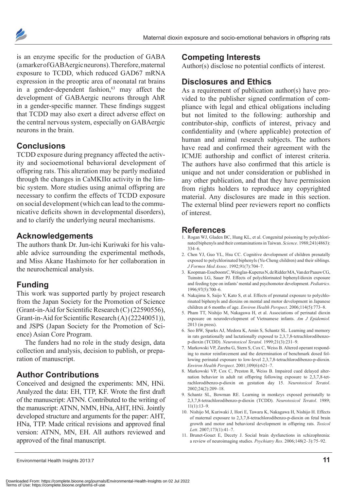

is an enzyme specific for the production of GABA (a marker of GABAergic neurons). Therefore, maternal exposure to TCDD, which reduced GAD67 mRNA expression in the preoptic area of neonatal rat brains in a gender-dependent fashion, $63$  may affect the development of GABAergic neurons through AhR in a gender-specific manner. These findings suggest that TCDD may also exert a direct adverse effect on the central nervous system, especially on GABAergic neurons in the brain.

## **Conclusions**

TCDD exposure during pregnancy affected the activity and socioemotional behavioral development of offspring rats. This alteration may be partly mediated through the changes in  $CaMKII\alpha$  activity in the limbic system. More studies using animal offspring are necessary to confirm the effects of TCDD exposure on social development (which can lead to the communicative deficits shown in developmental disorders), and to clarify the underlying neural mechanisms.

### **Acknowledgements**

The authors thank Dr. Jun-ichi Kuriwaki for his valuable advice surrounding the experimental methods, and Miss Akane Hashimoto for her collaboration in the neurochemical analysis.

## **Funding**

This work was supported partly by project research from the Japan Society for the Promotion of Science (Grant-in-Aid for Scientific Research (C) (22590556), Grant-in-Aid for Scientific Research (A) (22240051)), and JSPS (Japan Society for the Promotion of Science) Asian Core Program.

The funders had no role in the study design, data collection and analysis, decision to publish, or preparation of manuscript.

## **Author Contributions**

Conceived and designed the experiments: MN, HNi. Analyzed the data: EH, TTP, KF. Wrote the first draft of the manuscript: ATNN. Contributed to the writing of the manuscript: ATNN, NMN, HNa, AHT, HNi. Jointly developed structure and arguments for the paper: AHT, HNa, TTP. Made critical revisions and approved final version: ATNN, MN, EH. All authors reviewed and approved of the final manuscript.

#### **Competing Interests**

Author(s) disclose no potential conflicts of interest.

## **Disclosures and Ethics**

As a requirement of publication author(s) have provided to the publisher signed confirmation of compliance with legal and ethical obligations including but not limited to the following: authorship and contributor-ship, conflicts of interest, privacy and confidentiality and (where applicable) protection of human and animal research subjects. The authors have read and confirmed their agreement with the ICMJE authorship and conflict of interest criteria. The authors have also confirmed that this article is unique and not under consideration or published in any other publication, and that they have permission from rights holders to reproduce any copyrighted material. Any disclosures are made in this section. The external blind peer reviewers report no conflicts of interest.

## **References**

- 1. Rogan WJ, Gladen BC, Hung KL, et al. Congenital poisoning by polychlorinated biphenyls and their contaminations in Taiwan. *Science*. 1988;241(4863): 334–6.
- 2. Chen YJ, Guo YL, Hsu CC. Cognitive development of children prenatally exposed to polychlorinated biphenyls (Yu-Cheng children) and their siblings. *J Formos Med Assoc*. 1992;91(7):704–7.
- 3. Koopman-Esseboom C, Weisglas-Kuperus N, de Ridder MA, Van der Paauw CG, Tuinstra LG, Sauer PJ. Effects of polychlorinated biphenyl/dioxin exposure and feeding type on infants' mental and psychomotor development. *Pediatrics*. 1996;97(5):700–6.
- 4. Nakajima S, Saijo Y, Kato S, et al. Effects of prenatal exposure to polychlorinated biphenyls and dioxins on mental and motor development in Japanese children at 6 months of age. *Environ Health Perspect*. 2006;114(5):773–8.
- 5. Pham TT, Nishijo M, Nakagawa H, et al. Associations of perinatal dioxin exposure on neurodevelopment of Vietnamese infants. *Am J Epidemiol.* 2013 (in press).
- 6. Seo BW, Sparks AJ, Medora K, Amin S, Schantz SL. Learning and memory in rats gestationally and lactationally exposed to 2,3,7,8-tetrachlorodibenzop-dioxin (TCDD). *Neurotoxicol Teratol*. 1999;21(3):231–9.
- 7. Markowski VP, Zareba G, Stern S, Cox C, Weiss B. Altered operant responding to motor reinforcement and the determination of benchmark dosed following perinatal exposure to low-level 2,3,7,8-tetrachlorodibenzo-p-dioxin. *Environ Health Perspect*. 2001;109(6):621–7.
- 8. Markowski VP, Cox C, Preston R, Weiss B. Impaired cued delayed alternation behavior in adult rat offspring following exposure to 2,3,7,8-tetrachlorodibenzo-p-dioxin on gestation day 15. *Neurotoxicol Teratol*. 2002;24(2):209–18.
- 9. Schantz SL, Bowman RE. Learning in monkeys exposed perinatally to 2,3,7,8-tetrachlorodibenzo-p-dioxin (TCDD). *Neurotoxicol Teratol*. 1989; 11(1):13–9.
- 10. Nishijo M, Kuriwaki J, Hori E, Tawara K, Nakagawa H, Nishijo H. Effects of maternal exposure to 2,3,7,8-tetrachlorodibenzo-p-dioxin on fetal brain growth and motor and behavioral development in offspring rats. *Toxicol Lett*. 2007;173(1):41–7.
- 11. Brunet-Gouet E, Decety J. Social brain dysfunctions in schizophrenia: a review of neuroimaging studies. *Psychiatry Res*. 2006;148(2–3):75–92.

Environmental Health Insights 2013:7 **11**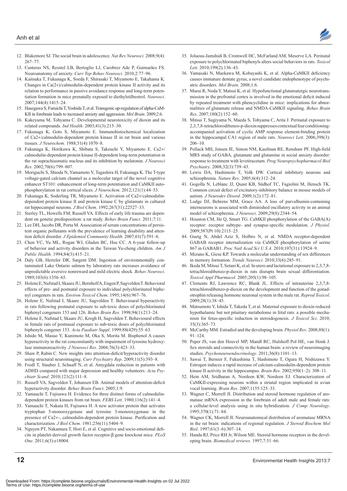

- 12. Blakemore SJ. The social brain in adolescence. *Nat Rev Neurosci*. 2008;9(4): 267–77.
- 13. Canteras NS, Resstel LB, Bertoglio LJ, Carobrez Ade P, Guimarães FS. Neuroanatomy of anxiety. *Curr Top Behav Neurosci*. 2010;2:77–96.
- 14. Kaitsuka T, Fukunaga K, Soeda F, Shirasaki T, Miyamoto E, Takahama K. Changes in Ca(2+)/calmodulin-dependent protein kinase II activity and its relation to performance in passive avoidance response and long-term potentiation formation in mice prenatally exposed to diethylstilbestrol. *Neurosci*. 2007;144(4):1415–24.
- 15. Hasegawa S, Furuichi T, Yoshida T, et al. Transgenic up-regulation of alpha-CaM-KII in forebrain leads to increased anxiety and aggression. *Mol Brain*. 2009;2:6.
- 16. Kakeyama M, Tohyama C. Developmental neurotoxicity of dioxin and its related compounds. *Ind Health*. 2003;41(3):215–30.
- 17. Fukunaga K, Goto S, Miyamoto E. Immunohistochemical localization of Ca2+/calmodulin-dependent protein kinase II in rat brain and various tissues. *J Neurochem*. 1988;51(4):1070–8.
- 18. Fukunaga K, Horikawa K, Shibata S, Takeuchi Y, Miyamoto E. Ca2+/ calmodulin-dependent protein kinase II-dependent long-term potentiation in the rat suprachiasmatic nucleus and its inhibition by melatonin. *J Neurosci Res*. 2002;70(6):799–807.
- 19. Moriguchi S, Shioda N, Yamamoto Y, Tagashira H, Fukunaga K. The T-type voltage-gated calcium channel as a molecular target of the novel cognitive enhancer ST101: enhancement of long-term potentiation and CaMKII autophosphorylation in rat cortical slices. *J Neurochem*. 2012;121(1):44–53.
- 20. Fukunaga K, Soderling TR, Miyamoto E. Activation of Ca2+/calmodulindependent protein kinase II and protein kinase C by glutamate in cultured rat hippocampal neurons. *J Biol Chem*. 1992;267(31):22527–33.
- 21. Sterley TL, Howells FM, Russell VA. Effects of early life trauma are dependent on genetic predisposition: a rat study. *Behav Brain Funct*. 2011;7:11.
- 22. Lee DH, Jacobs DR, Porta M. Association of serum concentrations of persistent organic pollutants with the prevalence of learning disability and attention deficit disorder. *J Epidemiol Community Health*. 2007;61(7):591–6.
- 23. Chen YC, Yu ML, Rogan WJ, Gladen BC, Hsu CC. A 6-year follow-up of behavior and activity disorders in the Taiwan Yu-cheng children. *Am J Public Health*. 1994;84(3):415–21.
- 24. Daly GB, Hertzler DR, Sargent DM. Ingestion of environmentally contaminated Lake Ontario salmon by laboratory rats increases avoidance of unpredictable aversive nonreward and mild electric shock. *Behav Neurosci*. 1989;103(6):1356–65.
- 25. Holene E, Nafstad I, Skaare JU, Bernholf A, Engen P, Sagvolden T. Behavioral effects of pre- and postnatal exposure to individual polychlorinated biphenyl congeners in rats. *Environ Toxicol Chem*. 1995;14(6):967–76.
- 26. Holene E, Nafstad I, Skaare JU, Sagvolden T. Behavioural hyperactivity in rats following postnatal exposure to sub-toxic doses of polychlorinated biphenyl congeners 153 and 126. *Behav Brain Res*. 1998;94(1):213–24.
- 27. Holene E, Nafstad I, Skaare JU, Krogh H, Sagvolden T. Behavioural effects in female rats of postnasal exposure to sub-toxic doses of polychlorinated biphenyls congener 153. *Acta Paediatr Suppl*. 1999;88(429):55–63.
- 28. Ishido M, Masuo Y, Kunimoto M, Oka S, Morita M. Bisphenol A causes hyperactivity in the rat concomitantly with impairment of tyrosine hydroxylase immunoreactivity. *J Neurosci Res*. 2004;76(3):423–33.
- 29. Shaw P, Rabin C. New insights into attention-deficit/hyperactivity disorder using structural neuroimaging. *Curr Psychiatry Rep*. 2009;11(5):393–8.
- 30. Frodl T, Stauber J, Schaaff N, et al. Amygdala reduction in patients with ADHD compared with major depression and healthy volunteers. *Acta Psychiatr Scand*. 2010;121(2):111–8.
- 31. Russell VA, Sagvolden T, Johansen EB. Animal models of attention-deficit hyperactivity disorder. *Behav Brain Funct*. 2005;1:9.
- 32. Yamauchi T, Fujisawa H. Evidence for three distinct forms of calmodulindependent protein kinases from rat brain. *FEBS Lett*. 1980;116(2):141–4.
- 33. Yamauchi T, Nakata H, Fujisawa H. A new activator protein that activates tryptophan 5-monooxygenase and tyrosine 3-monooxygenase in the presence of Ca2+-, calmodulin-dependent protein kinase. Purification and characterization. *J Biol Chem*. 1981;256(11):5404–9.
- 34. Nguyen PT, Nakamura T, Hori E, et al. Cognitive and socio-emotional deficits in platelet-derived growth factor receptor-β gene knockout mice. *PLoS One*. 2011;6(3):e18004.
- 35. Joluous-Jamshidi B, Cromwell HC, McFarland AM, Meserve LA. Perinatal exposure to polychlorinated biphenyls alters social behaviors in rats. *Toxicol Lett*. 2010;199(2):136–43.
- 36. Yamasaki N, Maekawa M, Kobayashi K, et al. Alpha-CaMKII deficiency causes immature dentate gyrus, a novel candidate endophenotype of psychiatric disorders. *Mol Brain*. 2008;1:6.
- 37. Murai R, Noda Y, Matsui K, et al. Hypofunctional glutamatergic neurotransmission in the prefrontal cortex is involved in the emotional deficit induced by repeated treatment with phencyclidine in mice: implications for abnormalities of glutamate release and NMDA-CaMKII signaling. *Behav Brain Res*. 2007;180(2):152–60.
- 38. Mitsui T, Sugiyama N, Maeda S, Tohyama C, Arita J. Perinatal exposure to 2,3,7,8-tetrachlorodibenzo-p-dioxin suppresses contextual fear conditioningaccompanied activation of cyclic AMP response element-binding protein in the hippocampal CA1 region of male rats. *Neurosci Lett*. 2006;398(3): 206–10.
- 39. Pollack MH, Jensen JE, Simon NM, Kaufman RE, Renshaw PF. High-field MRS study of GABA, glutamate and glutamine in social anxiety disorder: response to treatment with levetiracetam. *Prog Neuropsychopharmacol Biol Psychiatry*. 2008;32(3):739–43.
- 40. Lewis DA, Hashimoto T, Volk DW. Cortical inhibitory neurons and schizophrenia. *Nature Rev*. 2005;6(4):312–24.
- 41. Gogolla N, Leblanc JJ, Quast KB, Südhof TC, Fagiolini M, Hensch TK. Common circuit defect of excitatory-inhibitory balance in mouse models of autism. *J Neurodev Disord*. 2009;1(2):172–81.
- 42. Lodge DJ, Behrens MM, Grace AA. A loss of parvalbumin-containing interneurons is associated with diminished oscillatory activity in an animal model of schizophrenia. *J Neurosci*. 2009;29(8):2344–54.
- 43. Houston CM, He Q, Smart TG. CaMKII phosphorylation of the GABA(A) receptor: receptor subtype- and synapse-specific modulation. *J Physiol*. 2009;587(Pt 10):2115–25.
- 44. Guetg N, Abdel Aziz S, Holbro N, et al. NMDA receptor-dependent GABAB receptor internalization via CaMKII phosphorylation of serine 867 in GABAB1. *Proc Natl Acad Sci U S A*. 2010;107(31):13924–9.
- 45. Mizuno K, Giese KP. Towards a molecular understanding of sex differences in memory formation. *Trends Neurosci*. 2010;33(6):285–91.
- 46. Ikeda M, Mitsui T, Setani K, et al. In utero and lactational exposure to 2,3,7,8 tetrachlorodibenzo-p-dioxin in rats disrupts brain sexual differentiation. *Toxicol Appl Pharmacol*. 2005;205(1):98–105.
- 47. Clements RJ, Lawrence RC, Blank JL. Effects of intrauterine 2,3,7,8 tetrachlorodibenzo-p-dioxin on the development and function of the gonadotrophin releasing hormone neuronal system in the male rat. *Reprod Toxicol*. 2009;28(1):38–45.
- 48. Matsumoto Y, Ishida T, Takeda T, et al. Maternal exposure to dioxin reduced hypothalamic but not pituitary metabolome in fetal rats: a possible mechanism for fetus-specific reduction in steroidogenesis. *J Toxicol Sci*. 2010; 35(3):365–73.
- 49. McCarthy MM. Estradiol and the developing brain. *Physiol Rev*. 2008;88(1): 91–124.
- 50. Peper JS, van den Heuvel MP, Mandl RC, Hulshoff Pol HE, van Honk J. Sex steroids and connectivity in the human brain: a review of neuroimaging studies. *Psychoneuroendocrinology*. 2011;36(8):1101–13.
- 51. Sawai T, Bernier F, Fukushima T, Hashimoto T, Ogura H, Nishizawa Y. Estrogen induces a rapid increase of calcium-calmodulin-dependent protein kinase II activity in the hippocampus. *Brain Res*. 2002;950(1–2): 308–11.
- 52. Hein AM, Sridharan A, Nordeen KW, Nordeen EJ. Characterization of CaMKII-expressing neurons within a striatal region implicated in avian vocal learning. *Brain Res*. 2007;1155:125–33.
- 53. Wagner C, Morrell JI. Distribution and steroid hormone regulation of aromatase mRNA expression in the forebrain of adult male and female rats: a cellular-level analysis using in situ hybridization. *J Comp Neurology*. 1995;370(1):71–84.
- 54. Wagner CK, Morrell JI. Neuroanatomical distribution of aromatase MRNA in the rat brain: indications of regional regulation. *J Steroid Biochem Mol Biol*. 1997;61(3–6):307–14.
- 55. Handa RJ, Price RH Jr, Wilson ME. Steroid hormone receptors in the developing brain. *Biomedical reviews.* 1997;7:51–66.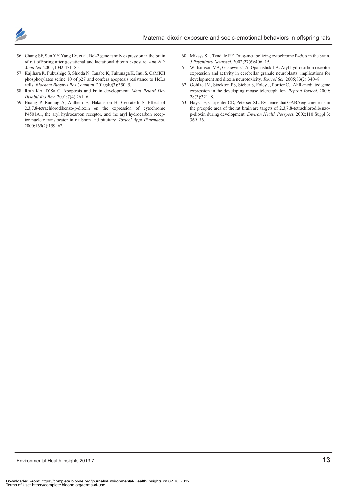

- 56. Chang SF, Sun YY, Yang LY, et al. Bcl-2 gene family expression in the brain of rat offspring after gestational and lactational dioxin exposure. *Ann N Y Acad Sci*. 2005;1042:471–80.
- 57. Kajihara R, Fukushige S, Shioda N, Tanabe K, Fukunaga K, Inui S. CaMKII phosphorylates serine 10 of p27 and confers apoptosis resistance to HeLa cells. *Biochem Biophys Res Commun*. 2010;40(3):350–5.
- 58. Roth KA, D'Sa C. Apoptosis and brain development. *Ment Retard Dev Disabil Res Rev*. 2001;7(4):261–6.
- 59. Huang P, Rannug A, Ahlbom E, Håkansson H, Ceccatelli S. Effect of 2,3,7,8-tetrachlorodibenzo-p-dioxin on the expression of cytochrome P4501A1, the aryl hydrocarbon receptor, and the aryl hydrocarbon receptor nuclear translocator in rat brain and pituitary. *Toxicol Appl Pharmacol*. 2000;169(2):159–67.
- 60. Miksys SL, Tyndale RF. Drug-metabolizing cytochrome P450 s in the brain. *J Psychiatry Neurosci*. 2002;27(6):406–15.
- 61. Williamson MA, Gasiewicz TA, Opanashuk LA. Aryl hydrocarbon receptor expression and activity in cerebellar granule neuroblasts: implications for development and dioxin neurotoxicity. *Toxicol Sci*. 2005;83(2):340–8.
- 62. Gohlke JM, Stockton PS, Sieber S, Foley J, Portier CJ. AhR-mediated gene expression in the developing mouse telencephalon. *Reprod Toxicol*. 2009; 28(3):321–8.
- 63. Hays LE, Carpenter CD, Petersen SL. Evidence that GABAergic neurons in the preoptic area of the rat brain are targets of 2,3,7,8-tetrachlorodibenzop-dioxin during development. *Environ Health Perspect*. 2002;110 Suppl 3: 369–76.